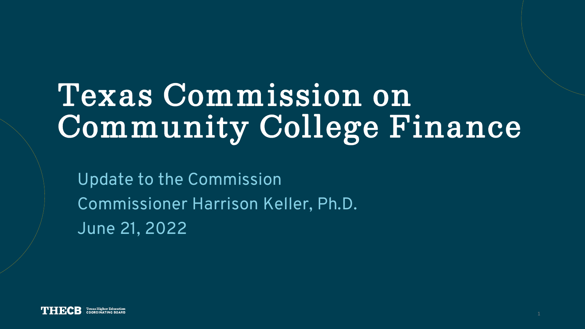# **Texas Commission on Community College Finance**

Update to the Commission Commissioner Harrison Keller, Ph.D. June 21, 2022

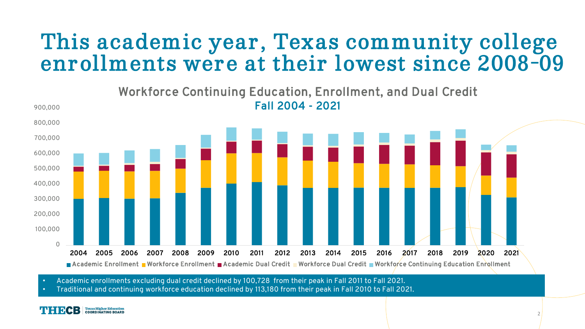#### **This academic year, Texas community college enrollments were at their lowest since 2008-09**



• Academic enrollments excluding dual credit declined by 100,728 from their peak in Fall 2011 to Fall 2021.

• Traditional and continuing workforce education declined by 113,180 from their peak in Fall 2010 to Fall 2021.

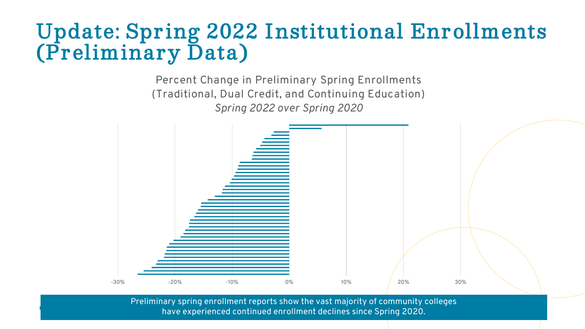#### **Update: Spring 2022 Institutional Enrollments (Preliminary Data)**

Percent Change in Preliminary Spring Enrollments (Traditional, Dual Credit, and Continuing Education) *Spring 2022 over Spring 2020*



Preliminary spring enrollment reports show the vast majority of community colleges have experienced continued enrollment declines since Spring 2020.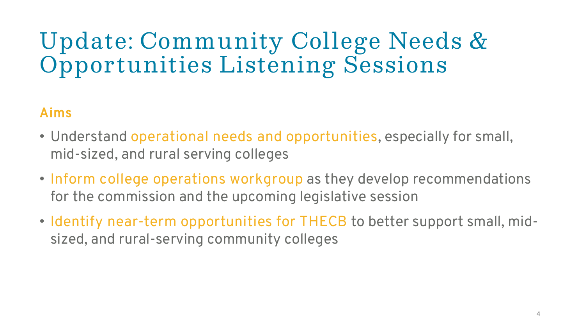### **Update: Community College Needs & Opportunities Listening Sessions**

#### Aims

- Understand **operational needs and opportunities**, especially for small, mid-sized, and rural serving colleges
- **Inform college operations workgroup** as they develop recommendations for the commission and the upcoming legislative session
- **Identify near-term opportunities for THECB** to better support small, midsized, and rural-serving community colleges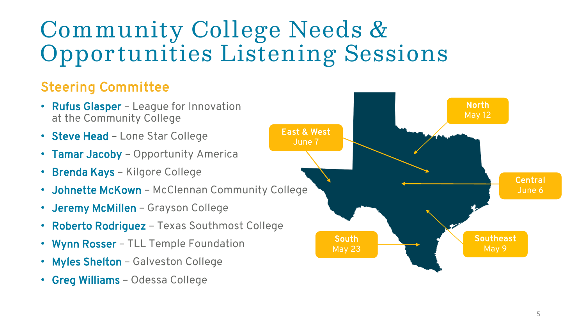## **Community College Needs & Opportunities Listening Sessions**

#### Steering Committee

- Rufus Glasper League for Innovation at the Community College
- Steve Head Lone Star College
- Tamar Jacoby Opportunity America
- Brenda Kays Kilgore College
- Johnette McKown McClennan Community College
- Jeremy McMillen Grayson College
- Roberto Rodriguez Texas Southmost College
- Wynn Rosser TLL Temple Foundation
- Myles Shelton Galveston College
- Greg Williams Odessa College

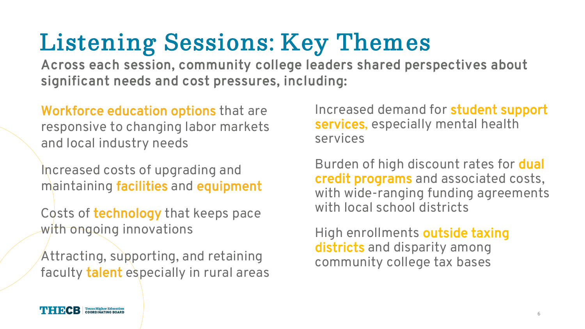## **Listening Sessions: Key Themes**

Across each session, community college leaders shared perspectives about significant needs and cost pressures, including:

Workforce education options that are responsive to changing labor markets and local industry needs

Increased costs of upgrading and maintaining facilities and equipment

Costs of technology that keeps pace with ongoing innovations

Attracting, supporting, and retaining faculty talent especially in rural areas

Increased demand for student support services, especially mental health services

Burden of high discount rates for dual credit programs and associated costs, with wide-ranging funding agreements with local school districts

High enrollments outside taxing districts and disparity among community college tax bases

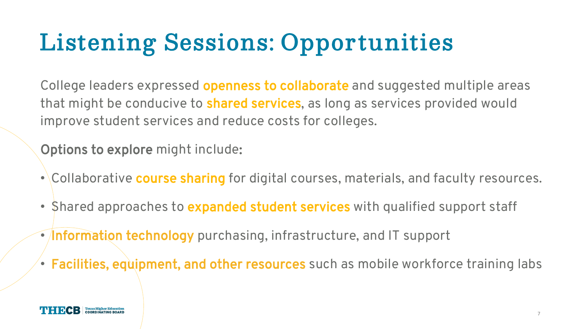## **Listening Sessions: Opportunities**

College leaders expressed **openness to collaborate** and suggested multiple areas that might be conducive to **shared services**, as long as services provided would improve student services and reduce costs for colleges.

Options to explore might include:

- Collaborative course sharing for digital courses, materials, and faculty resources.
- Shared approaches to expanded student services with qualified support staff
- **Information technology** purchasing, infrastructure, and IT support
- Facilities, equipment, and other resources such as mobile workforce training labs

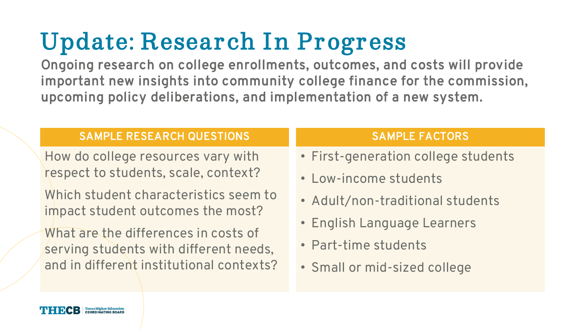## **Update: Research In Progress**

Ongoing research on college enrollments, outcomes, and costs will provide important new insights into community college finance for the commission, upcoming policy deliberations, and implementation of a new system.

#### **SAMPLE RESEARCH QUESTIONS SAMPLE FACTORS**

How do college resources vary with respect to students, scale, context?

Which student characteristics seem to impact student outcomes the most?

What are the differences in costs of serving students with different needs, and in different institutional contexts?

- First-generation college students
- Low-income students
- Adult/non-traditional students
- English Language Learners
- Part-time students
- Small or mid-sized college

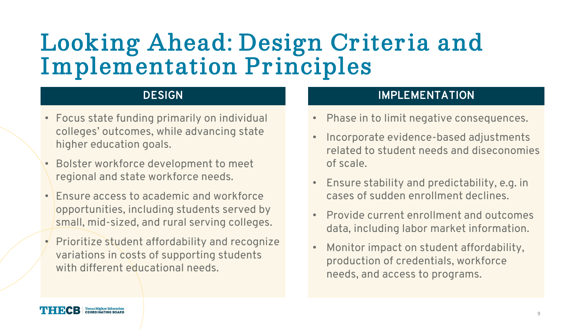### **Looking Ahead: Design Criteria and Implementation Principles**

- Focus state funding primarily on individual colleges' outcomes, while advancing state higher education goals.
- Bolster workforce development to meet regional and state workforce needs.
- **Ensure access to academic and workforce** opportunities, including students served by small, mid-sized, and rural serving colleges.
- Prioritize student affordability and recognize variations in costs of supporting students with different educational needs.

#### **DESIGN IMPLEMENTATION**

- Phase in to limit negative consequences.
- Incorporate evidence-based adjustments related to student needs and diseconomies of scale.
- Ensure stability and predictability, e.g. in cases of sudden enrollment declines.
- Provide current enrollment and outcomes data, including labor market information.
- Monitor impact on student affordability, production of credentials, workforce needs, and access to programs.